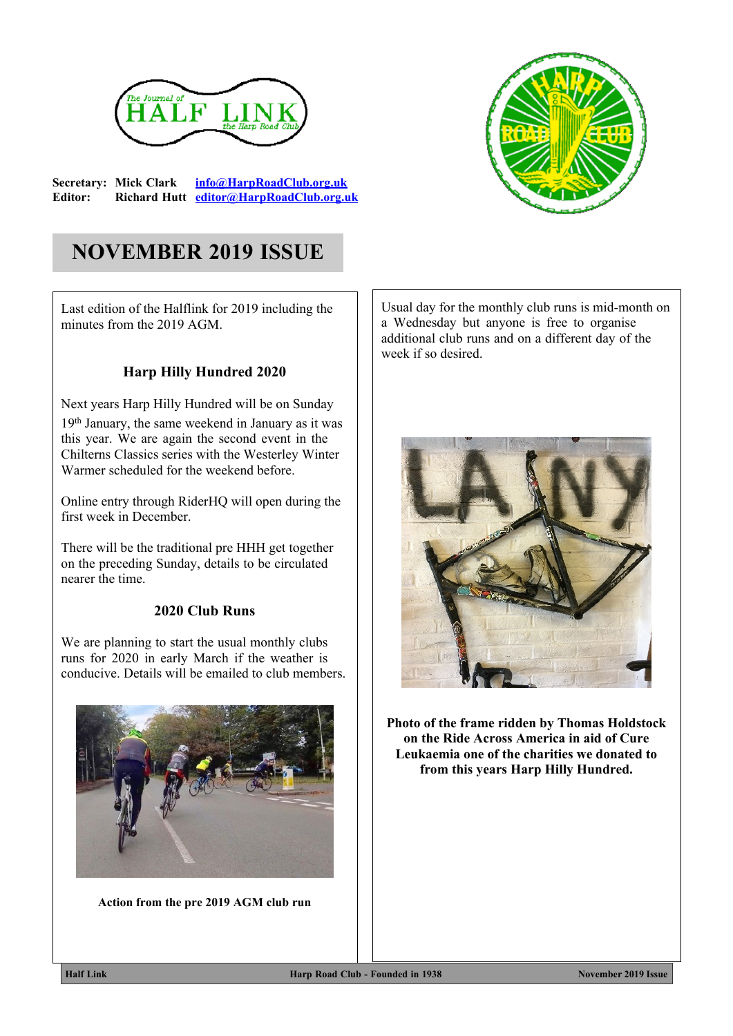

**Secretary: Mick Clark [info@HarpRoadClub.org.uk](mailto:info@HarpRoadClub.org.uk) Editor: Richard Hutt [editor@HarpRoadClub.org.uk](mailto:editor@HarpRoadClub.org.uk)**



# **NOVEMBER 2019 ISSUE**

Last edition of the Halflink for 2019 including the minutes from the 2019 AGM.

### **Harp Hilly Hundred 2020**

Next years Harp Hilly Hundred will be on Sunday 19th January, the same weekend in January as it was this year. We are again the second event in the Chilterns Classics series with the Westerley Winter Warmer scheduled for the weekend before.

Online entry through RiderHQ will open during the first week in December.

There will be the traditional pre HHH get together on the preceding Sunday, details to be circulated nearer the time.

#### **2020 Club Runs**

We are planning to start the usual monthly clubs runs for 2020 in early March if the weather is conducive. Details will be emailed to club members.



**Action from the pre 2019 AGM club run**

Usual day for the monthly club runs is mid-month on a Wednesday but anyone is free to organise additional club runs and on a different day of the week if so desired.



**Photo of the frame ridden by Thomas Holdstock on the Ride Across America in aid of Cure Leukaemia one of the charities we donated to from this years Harp Hilly Hundred.**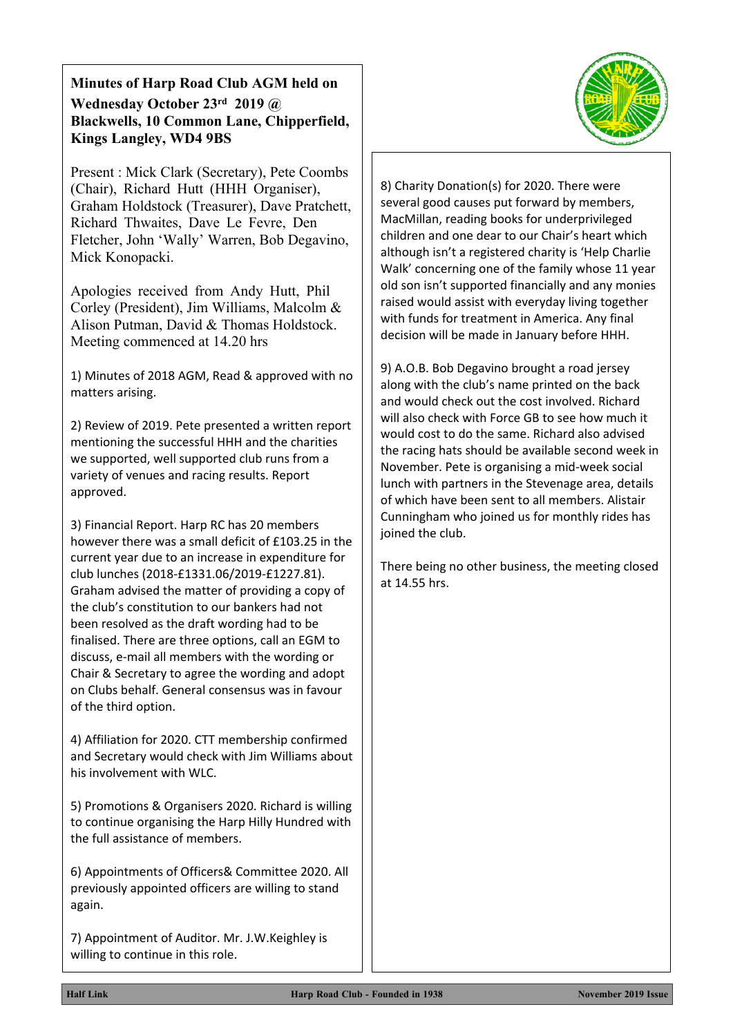### **Minutes of Harp Road Club AGM held on Wednesday October 23rd 2019 @ Blackwells, 10 Common Lane, Chipperfield, Kings Langley, WD4 9BS**

Present : Mick Clark (Secretary), Pete Coombs (Chair), Richard Hutt (HHH Organiser), Graham Holdstock (Treasurer), Dave Pratchett, Richard Thwaites, Dave Le Fevre, Den Fletcher, John 'Wally' Warren, Bob Degavino, Mick Konopacki.

Apologies received from Andy Hutt, Phil Corley (President), Jim Williams, Malcolm & Alison Putman, David & Thomas Holdstock. Meeting commenced at 14.20 hrs

1) Minutes of 2018 AGM, Read & approved with no matters arising.

2) Review of 2019. Pete presented a written report mentioning the successful HHH and the charities we supported, well supported club runs from a variety of venues and racing results. Report approved.

3) Financial Report. Harp RC has 20 members however there was a small deficit of £103.25 in the current year due to an increase in expenditure for club lunches (2018-£1331.06/2019-£1227.81). Graham advised the matter of providing a copy of the club's constitution to our bankers had not been resolved as the draft wording had to be finalised. There are three options, call an EGM to discuss, e-mail all members with the wording or Chair & Secretary to agree the wording and adopt on Clubs behalf. General consensus was in favour of the third option.

4) Affiliation for 2020. CTT membership confirmed and Secretary would check with Jim Williams about his involvement with WLC.

5) Promotions & Organisers 2020. Richard is willing to continue organising the Harp Hilly Hundred with the full assistance of members.

6) Appointments of Officers& Committee 2020. All previously appointed officers are willing to stand again.

7) Appointment of Auditor. Mr. J.W.Keighley is willing to continue in this role.



8) Charity Donation(s) for 2020. There were several good causes put forward by members, MacMillan, reading books for underprivileged children and one dear to our Chair's heart which although isn't a registered charity is 'Help Charlie Walk' concerning one of the family whose 11 year old son isn't supported financially and any monies raised would assist with everyday living together with funds for treatment in America. Any final decision will be made in January before HHH.

9) A.O.B. Bob Degavino brought a road jersey along with the club's name printed on the back and would check out the cost involved. Richard will also check with Force GB to see how much it would cost to do the same. Richard also advised the racing hats should be available second week in November. Pete is organising a mid-week social lunch with partners in the Stevenage area, details of which have been sent to all members. Alistair Cunningham who joined us for monthly rides has joined the club.

There being no other business, the meeting closed at 14.55 hrs.